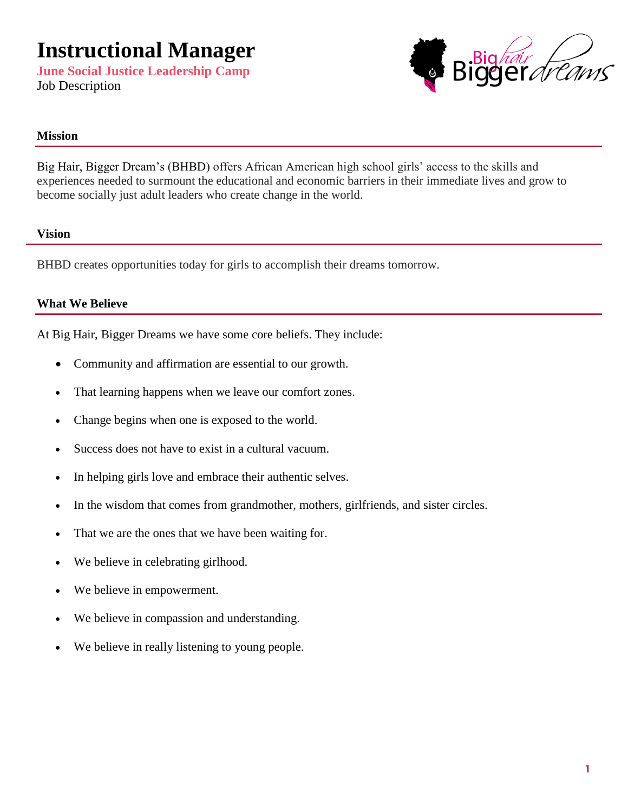**June Social Justice Leadership Camp** Job Description



#### **Mission**

Big Hair, Bigger Dream's (BHBD) offers African American high school girls' access to the skills and experiences needed to surmount the educational and economic barriers in their immediate lives and grow to become socially just adult leaders who create change in the world.

#### **Vision**

BHBD creates opportunities today for girls to accomplish their dreams tomorrow.

#### **What We Believe**

At Big Hair, Bigger Dreams we have some core beliefs. They include:

- Community and affirmation are essential to our growth.
- That learning happens when we leave our comfort zones.
- Change begins when one is exposed to the world.
- Success does not have to exist in a cultural vacuum.
- In helping girls love and embrace their authentic selves.
- In the wisdom that comes from grandmother, mothers, girlfriends, and sister circles.
- That we are the ones that we have been waiting for.
- We believe in celebrating girlhood.
- We believe in empowerment.
- We believe in compassion and understanding.
- We believe in really listening to young people.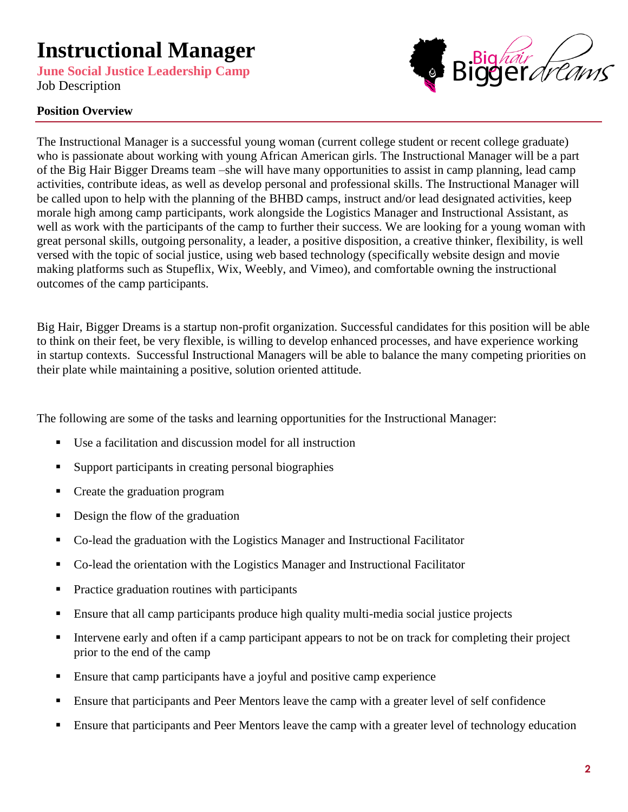**June Social Justice Leadership Camp** Job Description

# Big*háir*<br>GGE *dréams*

## **Position Overview**

The Instructional Manager is a successful young woman (current college student or recent college graduate) who is passionate about working with young African American girls. The Instructional Manager will be a part of the Big Hair Bigger Dreams team –she will have many opportunities to assist in camp planning, lead camp activities, contribute ideas, as well as develop personal and professional skills. The Instructional Manager will be called upon to help with the planning of the BHBD camps, instruct and/or lead designated activities, keep morale high among camp participants, work alongside the Logistics Manager and Instructional Assistant, as well as work with the participants of the camp to further their success. We are looking for a young woman with great personal skills, outgoing personality, a leader, a positive disposition, a creative thinker, flexibility, is well versed with the topic of social justice, using web based technology (specifically website design and movie making platforms such as Stupeflix, Wix, Weebly, and Vimeo), and comfortable owning the instructional outcomes of the camp participants.

Big Hair, Bigger Dreams is a startup non-profit organization. Successful candidates for this position will be able to think on their feet, be very flexible, is willing to develop enhanced processes, and have experience working in startup contexts. Successful Instructional Managers will be able to balance the many competing priorities on their plate while maintaining a positive, solution oriented attitude.

The following are some of the tasks and learning opportunities for the Instructional Manager:

- Use a facilitation and discussion model for all instruction
- Support participants in creating personal biographies
- Create the graduation program
- Design the flow of the graduation
- Co-lead the graduation with the Logistics Manager and Instructional Facilitator
- Co-lead the orientation with the Logistics Manager and Instructional Facilitator
- **Practice graduation routines with participants**
- Ensure that all camp participants produce high quality multi-media social justice projects
- Intervene early and often if a camp participant appears to not be on track for completing their project prior to the end of the camp
- Ensure that camp participants have a joyful and positive camp experience
- Ensure that participants and Peer Mentors leave the camp with a greater level of self confidence
- Ensure that participants and Peer Mentors leave the camp with a greater level of technology education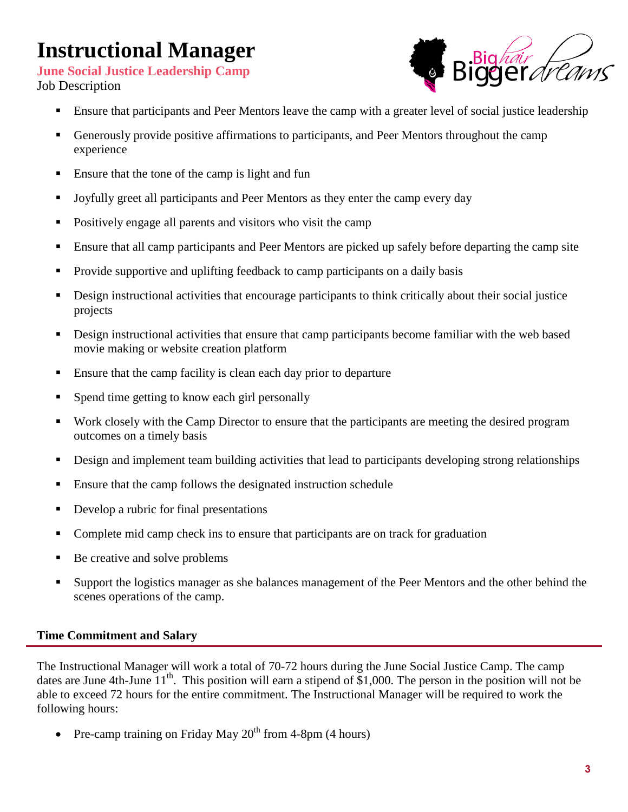**June Social Justice Leadership Camp** Job Description



- **Ensure that participants and Peer Mentors leave the camp with a greater level of social justice leadership**
- Generously provide positive affirmations to participants, and Peer Mentors throughout the camp experience
- Ensure that the tone of the camp is light and fun
- Joyfully greet all participants and Peer Mentors as they enter the camp every day
- Positively engage all parents and visitors who visit the camp
- Ensure that all camp participants and Peer Mentors are picked up safely before departing the camp site
- Provide supportive and uplifting feedback to camp participants on a daily basis
- Design instructional activities that encourage participants to think critically about their social justice projects
- Design instructional activities that ensure that camp participants become familiar with the web based movie making or website creation platform
- Ensure that the camp facility is clean each day prior to departure
- Spend time getting to know each girl personally
- Work closely with the Camp Director to ensure that the participants are meeting the desired program outcomes on a timely basis
- Design and implement team building activities that lead to participants developing strong relationships
- **Ensure that the camp follows the designated instruction schedule**
- Develop a rubric for final presentations
- Complete mid camp check ins to ensure that participants are on track for graduation
- Be creative and solve problems
- Support the logistics manager as she balances management of the Peer Mentors and the other behind the scenes operations of the camp.

#### **Time Commitment and Salary**

The Instructional Manager will work a total of 70-72 hours during the June Social Justice Camp. The camp dates are June 4th-June 11<sup>th</sup>. This position will earn a stipend of \$1,000. The person in the position will not be able to exceed 72 hours for the entire commitment. The Instructional Manager will be required to work the following hours:

• Pre-camp training on Friday May  $20^{th}$  from 4-8pm (4 hours)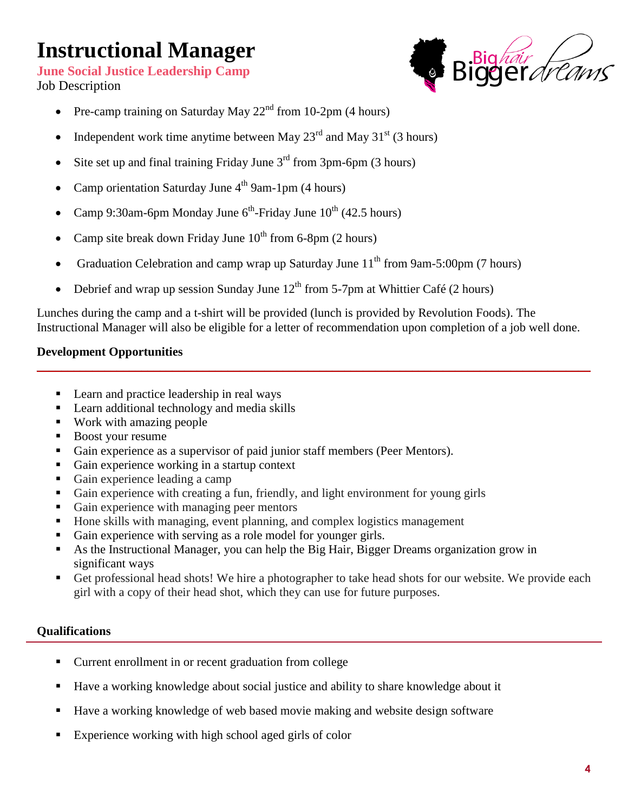**June Social Justice Leadership Camp** Job Description



- Pre-camp training on Saturday May  $22<sup>nd</sup>$  from 10-2pm (4 hours)
- Independent work time anytime between May  $23<sup>rd</sup>$  and May  $31<sup>st</sup>$  (3 hours)
- Site set up and final training Friday June  $3<sup>rd</sup>$  from 3pm-6pm (3 hours)
- Camp orientation Saturday June  $4<sup>th</sup>$  9am-1pm (4 hours)
- Camp 9:30am-6pm Monday June  $6^{th}$ -Friday June  $10^{th}$  (42.5 hours)
- Camp site break down Friday June  $10^{th}$  from 6-8pm (2 hours)
- Graduation Celebration and camp wrap up Saturday June  $11<sup>th</sup>$  from 9am-5:00pm (7 hours)
- Debrief and wrap up session Sunday June  $12^{th}$  from 5-7pm at Whittier Café (2 hours)

Lunches during the camp and a t-shirt will be provided (lunch is provided by Revolution Foods). The Instructional Manager will also be eligible for a letter of recommendation upon completion of a job well done.

\_\_\_\_\_\_\_\_\_\_\_\_\_\_\_\_\_\_\_\_\_\_\_\_\_\_\_\_\_\_\_\_\_\_\_\_\_\_\_\_\_\_\_\_\_\_\_\_\_\_\_\_\_\_\_\_\_\_\_\_\_\_\_\_\_\_\_\_\_\_\_\_\_\_\_\_\_\_\_\_\_\_\_\_\_\_\_\_\_\_

#### **Development Opportunities**

- Learn and practice leadership in real ways
- **Learn additional technology and media skills**
- Work with amazing people
- Boost your resume
- Gain experience as a supervisor of paid junior staff members (Peer Mentors).
- Gain experience working in a startup context
- Gain experience leading a camp
- Gain experience with creating a fun, friendly, and light environment for young girls
- Gain experience with managing peer mentors
- Hone skills with managing, event planning, and complex logistics management
- Gain experience with serving as a role model for younger girls.
- As the Instructional Manager, you can help the Big Hair, Bigger Dreams organization grow in significant ways
- Get professional head shots! We hire a photographer to take head shots for our website. We provide each girl with a copy of their head shot, which they can use for future purposes.

### **Qualifications**

- Current enrollment in or recent graduation from college
- Have a working knowledge about social justice and ability to share knowledge about it
- Have a working knowledge of web based movie making and website design software
- Experience working with high school aged girls of color